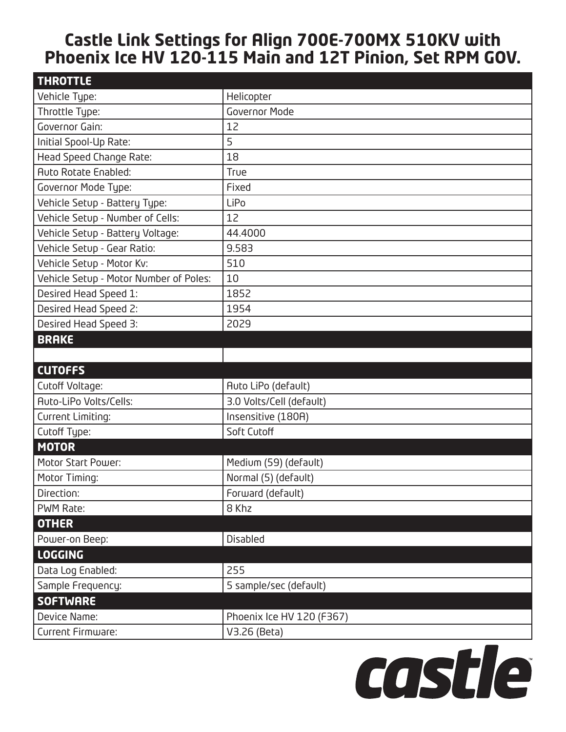## **Castle Link Settings for Align 700E-700MX 510KV with Phoenix Ice HV 120-115 Main and 12T Pinion, Set RPM GOV.**

| <b>THROTTLE</b>                        |                           |
|----------------------------------------|---------------------------|
| Vehicle Type:                          | Helicopter                |
| Throttle Type:                         | <b>Governor Mode</b>      |
| Governor Gain:                         | 12                        |
| Initial Spool-Up Rate:                 | 5                         |
| Head Speed Change Rate:                | 18                        |
| <b>Auto Rotate Enabled:</b>            | True                      |
| Governor Mode Type:                    | Fixed                     |
| Vehicle Setup - Battery Type:          | LiPo                      |
| Vehicle Setup - Number of Cells:       | 12                        |
| Vehicle Setup - Battery Voltage:       | 44.4000                   |
| Vehicle Setup - Gear Ratio:            | 9.583                     |
| Vehicle Setup - Motor Kv:              | 510                       |
| Vehicle Setup - Motor Number of Poles: | 10                        |
| Desired Head Speed 1:                  | 1852                      |
| Desired Head Speed 2:                  | 1954                      |
| Desired Head Speed 3:                  | 2029                      |
| <b>BRAKE</b>                           |                           |
|                                        |                           |
|                                        |                           |
| <b>CUTOFFS</b>                         |                           |
| Cutoff Voltage:                        | Auto LiPo (default)       |
| <b>Auto-LiPo Volts/Cells:</b>          | 3.0 Volts/Cell (default)  |
| Current Limiting:                      | Insensitive (180A)        |
| Cutoff Type:                           | Soft Cutoff               |
| <b>MOTOR</b>                           |                           |
| Motor Start Power:                     | Medium (59) (default)     |
| Motor Timing:                          | Normal (5) (default)      |
| Direction:                             | Forward (default)         |
| PWM Rate:                              | 8 Khz                     |
| <b>OTHER</b>                           |                           |
| Power-on Beep:                         | Disabled                  |
| <b>LOGGING</b>                         |                           |
| Data Log Enabled:                      | 255                       |
| Sample Frequency:                      | 5 sample/sec (default)    |
| <b>SOFTWARE</b>                        |                           |
| Device Name:                           | Phoenix Ice HV 120 (F367) |